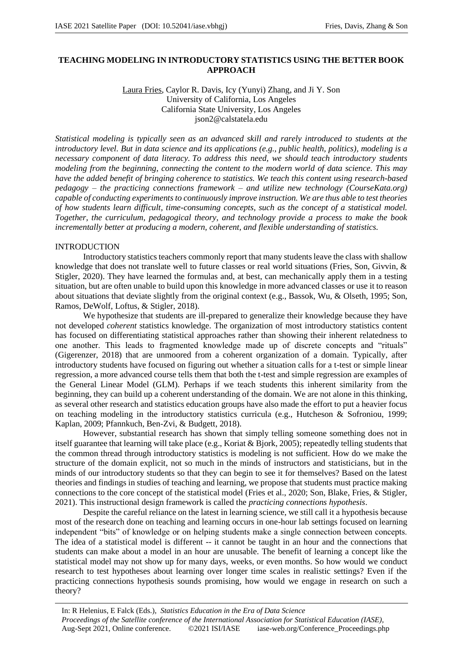# **TEACHING MODELING IN INTRODUCTORY STATISTICS USING THE BETTER BOOK APPROACH**

Laura Fries, Caylor R. Davis, Icy (Yunyi) Zhang, and Ji Y. Son University of California, Los Angeles California State University, Los Angeles json2@calstatela.edu

*Statistical modeling is typically seen as an advanced skill and rarely introduced to students at the introductory level. But in data science and its applications (e.g., public health, politics), modeling is a necessary component of data literacy. To address this need, we should teach introductory students modeling from the beginning, connecting the content to the modern world of data science. This may have the added benefit of bringing coherence to statistics. We teach this content using research-based pedagogy – the practicing connections framework – and utilize new technology (CourseKata.org) capable of conducting experiments to continuously improve instruction. We are thus able to test theories of how students learn difficult, time-consuming concepts, such as the concept of a statistical model. Together, the curriculum, pedagogical theory, and technology provide a process to make the book incrementally better at producing a modern, coherent, and flexible understanding of statistics.*

# INTRODUCTION

Introductory statistics teachers commonly report that many students leave the class with shallow knowledge that does not translate well to future classes or real world situations (Fries, Son, Givvin, & Stigler, 2020). They have learned the formulas and, at best, can mechanically apply them in a testing situation, but are often unable to build upon this knowledge in more advanced classes or use it to reason about situations that deviate slightly from the original context (e.g., Bassok, Wu, & Olseth, 1995; Son, Ramos, DeWolf, Loftus, & Stigler, 2018).

We hypothesize that students are ill-prepared to generalize their knowledge because they have not developed *coherent* statistics knowledge. The organization of most introductory statistics content has focused on differentiating statistical approaches rather than showing their inherent relatedness to one another. This leads to fragmented knowledge made up of discrete concepts and "rituals" (Gigerenzer, 2018) that are unmoored from a coherent organization of a domain. Typically, after introductory students have focused on figuring out whether a situation calls for a t-test or simple linear regression, a more advanced course tells them that both the t-test and simple regression are examples of the General Linear Model (GLM). Perhaps if we teach students this inherent similarity from the beginning, they can build up a coherent understanding of the domain. We are not alone in this thinking, as several other research and statistics education groups have also made the effort to put a heavier focus on teaching modeling in the introductory statistics curricula (e.g., Hutcheson & Sofroniou, 1999; Kaplan, 2009; Pfannkuch, Ben-Zvi, & Budgett, 2018).

However, substantial research has shown that simply telling someone something does not in itself guarantee that learning will take place (e.g., Koriat & Bjork, 2005); repeatedly telling students that the common thread through introductory statistics is modeling is not sufficient. How do we make the structure of the domain explicit, not so much in the minds of instructors and statisticians, but in the minds of our introductory students so that they can begin to see it for themselves? Based on the latest theories and findings in studies of teaching and learning, we propose that students must practice making connections to the core concept of the statistical model (Fries et al., 2020; Son, Blake, Fries, & Stigler, 2021). This instructional design framework is called the *practicing connections hypothesis*.

Despite the careful reliance on the latest in learning science, we still call it a hypothesis because most of the research done on teaching and learning occurs in one-hour lab settings focused on learning independent "bits" of knowledge or on helping students make a single connection between concepts. The idea of a statistical model is different -- it cannot be taught in an hour and the connections that students can make about a model in an hour are unusable. The benefit of learning a concept like the statistical model may not show up for many days, weeks, or even months. So how would we conduct research to test hypotheses about learning over longer time scales in realistic settings? Even if the practicing connections hypothesis sounds promising, how would we engage in research on such a theory?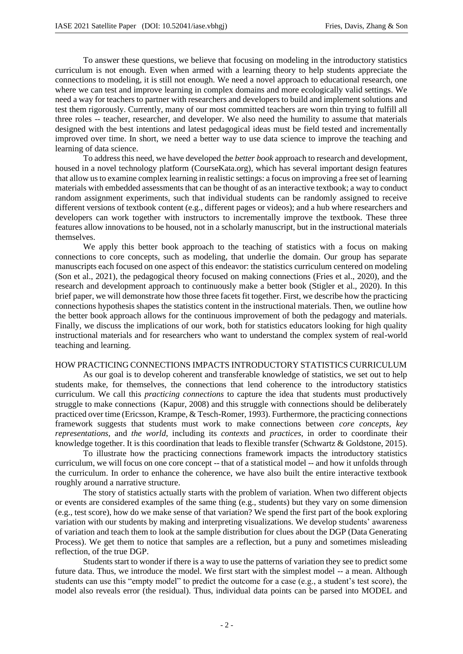To answer these questions, we believe that focusing on modeling in the introductory statistics curriculum is not enough. Even when armed with a learning theory to help students appreciate the connections to modeling, it is still not enough. We need a novel approach to educational research, one where we can test and improve learning in complex domains and more ecologically valid settings. We need a way for teachers to partner with researchers and developers to build and implement solutions and test them rigorously. Currently, many of our most committed teachers are worn thin trying to fulfill all three roles -- teacher, researcher, and developer. We also need the humility to assume that materials designed with the best intentions and latest pedagogical ideas must be field tested and incrementally improved over time. In short, we need a better way to use data science to improve the teaching and learning of data science.

To address this need, we have developed the *better book* approach to research and development, housed in a novel technology platform (CourseKata.org), which has several important design features that allow us to examine complex learning in realistic settings: a focus on improving a free set of learning materials with embedded assessments that can be thought of as an interactive textbook; a way to conduct random assignment experiments, such that individual students can be randomly assigned to receive different versions of textbook content (e.g., different pages or videos); and a hub where researchers and developers can work together with instructors to incrementally improve the textbook. These three features allow innovations to be housed, not in a scholarly manuscript, but in the instructional materials themselves.

We apply this better book approach to the teaching of statistics with a focus on making connections to core concepts, such as modeling, that underlie the domain. Our group has separate manuscripts each focused on one aspect of this endeavor: the statistics curriculum centered on modeling (Son et al., 2021), the pedagogical theory focused on making connections (Fries et al., 2020), and the research and development approach to continuously make a better book (Stigler et al., 2020). In this brief paper, we will demonstrate how those three facets fit together. First, we describe how the practicing connections hypothesis shapes the statistics content in the instructional materials. Then, we outline how the better book approach allows for the continuous improvement of both the pedagogy and materials. Finally, we discuss the implications of our work, both for statistics educators looking for high quality instructional materials and for researchers who want to understand the complex system of real-world teaching and learning.

### HOW PRACTICING CONNECTIONS IMPACTS INTRODUCTORY STATISTICS CURRICULUM

As our goal is to develop coherent and transferable knowledge of statistics, we set out to help students make, for themselves, the connections that lend coherence to the introductory statistics curriculum. We call this *practicing connections* to capture the idea that students must productively struggle to make connections (Kapur, 2008) and this struggle with connections should be deliberately practiced over time (Ericsson, Krampe, & Tesch-Romer, 1993). Furthermore, the practicing connections framework suggests that students must work to make connections between *core concepts*, *key representations*, and *the world*, including its *contexts* and *practices*, in order to coordinate their knowledge together. It is this coordination that leads to flexible transfer (Schwartz & Goldstone, 2015).

To illustrate how the practicing connections framework impacts the introductory statistics curriculum, we will focus on one core concept -- that of a statistical model -- and how it unfolds through the curriculum. In order to enhance the coherence, we have also built the entire interactive textbook roughly around a narrative structure.

The story of statistics actually starts with the problem of variation. When two different objects or events are considered examples of the same thing (e.g., students) but they vary on some dimension (e.g., test score), how do we make sense of that variation? We spend the first part of the book exploring variation with our students by making and interpreting visualizations. We develop students' awareness of variation and teach them to look at the sample distribution for clues about the DGP (Data Generating Process). We get them to notice that samples are a reflection, but a puny and sometimes misleading reflection, of the true DGP.

Students start to wonder if there is a way to use the patterns of variation they see to predict some future data. Thus, we introduce the model. We first start with the simplest model -- a mean. Although students can use this "empty model" to predict the outcome for a case (e.g., a student's test score), the model also reveals error (the residual). Thus, individual data points can be parsed into MODEL and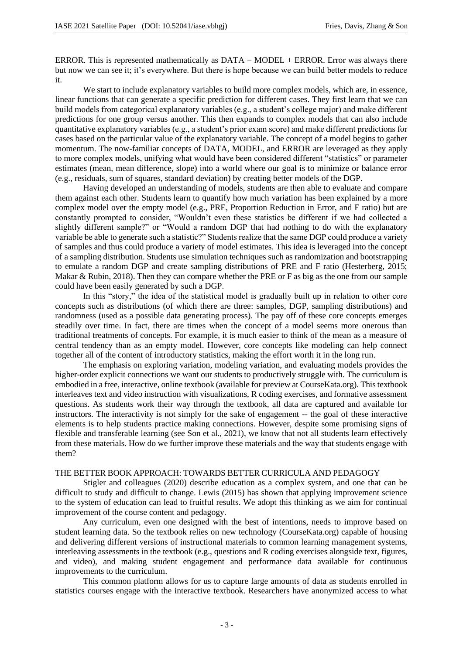ERROR. This is represented mathematically as  $DATA = MODEL + ERROR$ . Error was always there but now we can see it; it's everywhere. But there is hope because we can build better models to reduce it.

We start to include explanatory variables to build more complex models, which are, in essence, linear functions that can generate a specific prediction for different cases. They first learn that we can build models from categorical explanatory variables (e.g., a student's college major) and make different predictions for one group versus another. This then expands to complex models that can also include quantitative explanatory variables (e.g., a student's prior exam score) and make different predictions for cases based on the particular value of the explanatory variable. The concept of a model begins to gather momentum. The now-familiar concepts of DATA, MODEL, and ERROR are leveraged as they apply to more complex models, unifying what would have been considered different "statistics" or parameter estimates (mean, mean difference, slope) into a world where our goal is to minimize or balance error (e.g., residuals, sum of squares, standard deviation) by creating better models of the DGP.

Having developed an understanding of models, students are then able to evaluate and compare them against each other. Students learn to quantify how much variation has been explained by a more complex model over the empty model (e.g., PRE, Proportion Reduction in Error, and F ratio) but are constantly prompted to consider, "Wouldn't even these statistics be different if we had collected a slightly different sample?" or "Would a random DGP that had nothing to do with the explanatory variable be able to generate such a statistic?" Students realize that the same DGP could produce a variety of samples and thus could produce a variety of model estimates. This idea is leveraged into the concept of a sampling distribution. Students use simulation techniques such as randomization and bootstrapping to emulate a random DGP and create sampling distributions of PRE and F ratio (Hesterberg, 2015; Makar & Rubin, 2018). Then they can compare whether the PRE or F as big as the one from our sample could have been easily generated by such a DGP.

In this "story," the idea of the statistical model is gradually built up in relation to other core concepts such as distributions (of which there are three: samples, DGP, sampling distributions) and randomness (used as a possible data generating process). The pay off of these core concepts emerges steadily over time. In fact, there are times when the concept of a model seems more onerous than traditional treatments of concepts. For example, it is much easier to think of the mean as a measure of central tendency than as an empty model. However, core concepts like modeling can help connect together all of the content of introductory statistics, making the effort worth it in the long run.

The emphasis on exploring variation, modeling variation, and evaluating models provides the higher-order explicit connections we want our students to productively struggle with. The curriculum is embodied in a free, interactive, online textbook (available for preview at CourseKata.org). This textbook interleaves text and video instruction with visualizations, R coding exercises, and formative assessment questions. As students work their way through the textbook, all data are captured and available for instructors. The interactivity is not simply for the sake of engagement -- the goal of these interactive elements is to help students practice making connections. However, despite some promising signs of flexible and transferable learning (see Son et al., 2021), we know that not all students learn effectively from these materials. How do we further improve these materials and the way that students engage with them?

# THE BETTER BOOK APPROACH: TOWARDS BETTER CURRICULA AND PEDAGOGY

Stigler and colleagues (2020) describe education as a complex system, and one that can be difficult to study and difficult to change. Lewis (2015) has shown that applying improvement science to the system of education can lead to fruitful results. We adopt this thinking as we aim for continual improvement of the course content and pedagogy.

Any curriculum, even one designed with the best of intentions, needs to improve based on student learning data. So the textbook relies on new technology (CourseKata.org) capable of housing and delivering different versions of instructional materials to common learning management systems, interleaving assessments in the textbook (e.g., questions and R coding exercises alongside text, figures, and video), and making student engagement and performance data available for continuous improvements to the curriculum.

This common platform allows for us to capture large amounts of data as students enrolled in statistics courses engage with the interactive textbook. Researchers have anonymized access to what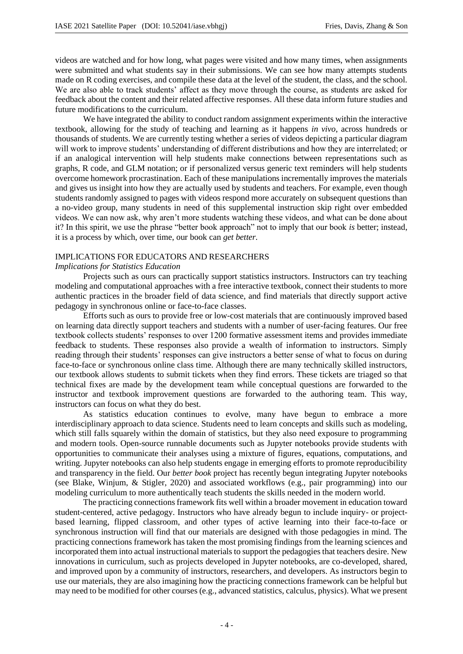videos are watched and for how long, what pages were visited and how many times, when assignments were submitted and what students say in their submissions. We can see how many attempts students made on R coding exercises, and compile these data at the level of the student, the class, and the school. We are also able to track students' affect as they move through the course, as students are asked for feedback about the content and their related affective responses. All these data inform future studies and future modifications to the curriculum.

We have integrated the ability to conduct random assignment experiments within the interactive textbook, allowing for the study of teaching and learning as it happens *in vivo*, across hundreds or thousands of students. We are currently testing whether a series of videos depicting a particular diagram will work to improve students' understanding of different distributions and how they are interrelated; or if an analogical intervention will help students make connections between representations such as graphs, R code, and GLM notation; or if personalized versus generic text reminders will help students overcome homework procrastination. Each of these manipulations incrementally improves the materials and gives us insight into how they are actually used by students and teachers. For example, even though students randomly assigned to pages with videos respond more accurately on subsequent questions than a no-video group, many students in need of this supplemental instruction skip right over embedded videos. We can now ask, why aren't more students watching these videos, and what can be done about it? In this spirit, we use the phrase "better book approach" not to imply that our book *is* better; instead, it is a process by which, over time, our book can *get better.* 

### IMPLICATIONS FOR EDUCATORS AND RESEARCHERS

#### *Implications for Statistics Education*

Projects such as ours can practically support statistics instructors. Instructors can try teaching modeling and computational approaches with a free interactive textbook, connect their students to more authentic practices in the broader field of data science, and find materials that directly support active pedagogy in synchronous online or face-to-face classes.

Efforts such as ours to provide free or low-cost materials that are continuously improved based on learning data directly support teachers and students with a number of user-facing features. Our free textbook collects students' responses to over 1200 formative assessment items and provides immediate feedback to students. These responses also provide a wealth of information to instructors. Simply reading through their students' responses can give instructors a better sense of what to focus on during face-to-face or synchronous online class time. Although there are many technically skilled instructors, our textbook allows students to submit tickets when they find errors. These tickets are triaged so that technical fixes are made by the development team while conceptual questions are forwarded to the instructor and textbook improvement questions are forwarded to the authoring team. This way, instructors can focus on what they do best.

As statistics education continues to evolve, many have begun to embrace a more interdisciplinary approach to data science. Students need to learn concepts and skills such as modeling, which still falls squarely within the domain of statistics, but they also need exposure to programming and modern tools. Open-source runnable documents such as Jupyter notebooks provide students with opportunities to communicate their analyses using a mixture of figures, equations, computations, and writing. Jupyter notebooks can also help students engage in emerging efforts to promote reproducibility and transparency in the field. Our *better book* project has recently begun integrating Jupyter notebooks (see Blake, Winjum, & Stigler, 2020) and associated workflows (e.g., pair programming) into our modeling curriculum to more authentically teach students the skills needed in the modern world.

The practicing connections framework fits well within a broader movement in education toward student-centered, active pedagogy. Instructors who have already begun to include inquiry- or projectbased learning, flipped classroom, and other types of active learning into their face-to-face or synchronous instruction will find that our materials are designed with those pedagogies in mind. The practicing connections framework has taken the most promising findings from the learning sciences and incorporated them into actual instructional materials to support the pedagogies that teachers desire. New innovations in curriculum, such as projects developed in Jupyter notebooks, are co-developed, shared, and improved upon by a community of instructors, researchers, and developers. As instructors begin to use our materials, they are also imagining how the practicing connections framework can be helpful but may need to be modified for other courses (e.g., advanced statistics, calculus, physics). What we present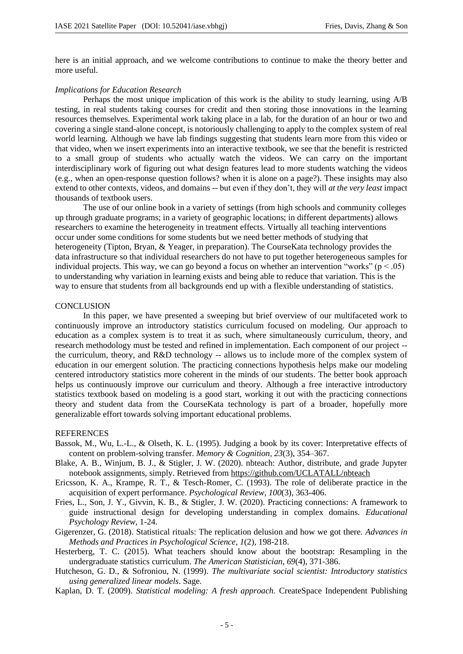here is an initial approach, and we welcome contributions to continue to make the theory better and more useful.

# *Implications for Education Research*

Perhaps the most unique implication of this work is the ability to study learning, using A/B testing, in real students taking courses for credit and then storing those innovations in the learning resources themselves. Experimental work taking place in a lab, for the duration of an hour or two and covering a single stand-alone concept, is notoriously challenging to apply to the complex system of real world learning. Although we have lab findings suggesting that students learn more from this video or that video, when we insert experiments into an interactive textbook, we see that the benefit is restricted to a small group of students who actually watch the videos. We can carry on the important interdisciplinary work of figuring out what design features lead to more students watching the videos (e.g., when an open-response question follows? when it is alone on a page?). These insights may also extend to other contexts, videos, and domains -- but even if they don't, they will *at the very least* impact thousands of textbook users.

The use of our online book in a variety of settings (from high schools and community colleges up through graduate programs; in a variety of geographic locations; in different departments) allows researchers to examine the heterogeneity in treatment effects. Virtually all teaching interventions occur under some conditions for some students but we need better methods of studying that heterogeneity (Tipton, Bryan, & Yeager, in preparation). The CourseKata technology provides the data infrastructure so that individual researchers do not have to put together heterogeneous samples for individual projects. This way, we can go beyond a focus on whether an intervention "works" ( $p < .05$ ) to understanding why variation in learning exists and being able to reduce that variation. This is the way to ensure that students from all backgrounds end up with a flexible understanding of statistics.

### **CONCLUSION**

In this paper, we have presented a sweeping but brief overview of our multifaceted work to continuously improve an introductory statistics curriculum focused on modeling. Our approach to education as a complex system is to treat it as such, where simultaneously curriculum, theory, and research methodology must be tested and refined in implementation. Each component of our project - the curriculum, theory, and R&D technology -- allows us to include more of the complex system of education in our emergent solution. The practicing connections hypothesis helps make our modeling centered introductory statistics more coherent in the minds of our students. The better book approach helps us continuously improve our curriculum and theory. Although a free interactive introductory statistics textbook based on modeling is a good start, working it out with the practicing connections theory and student data from the CourseKata technology is part of a broader, hopefully more generalizable effort towards solving important educational problems.

#### **REFERENCES**

- Bassok, M., Wu, L.-L., & Olseth, K. L. (1995). Judging a book by its cover: Interpretative effects of content on problem-solving transfer. *Memory & Cognition, 23*(3), 354–367.
- Blake, A. B., Winjum, B. J., & Stigler, J. W. (2020). nbteach: Author, distribute, and grade Jupyter notebook assignments, simply. Retrieved from https://github.com/UCLATALL/nbteach
- Ericsson, K. A., Krampe, R. T., & Tesch-Romer, C. (1993). The role of deliberate practice in the acquisition of expert performance. *Psychological Review, 100*(3), 363-406.
- Fries, L., Son, J. Y., Givvin, K. B., & Stigler, J. W. (2020). Practicing connections: A framework to guide instructional design for developing understanding in complex domains. *Educational Psychology Review*, 1-24.
- Gigerenzer, G. (2018). Statistical rituals: The replication delusion and how we got there. *Advances in Methods and Practices in Psychological Science*, *1*(2), 198-218.
- Hesterberg, T. C. (2015). What teachers should know about the bootstrap: Resampling in the undergraduate statistics curriculum. *The American Statistician*, *69*(4), 371-386.
- Hutcheson, G. D., & Sofroniou, N. (1999). *The multivariate social scientist: Introductory statistics using generalized linear models*. Sage.
- Kaplan, D. T. (2009). *Statistical modeling: A fresh approach.* CreateSpace Independent Publishing